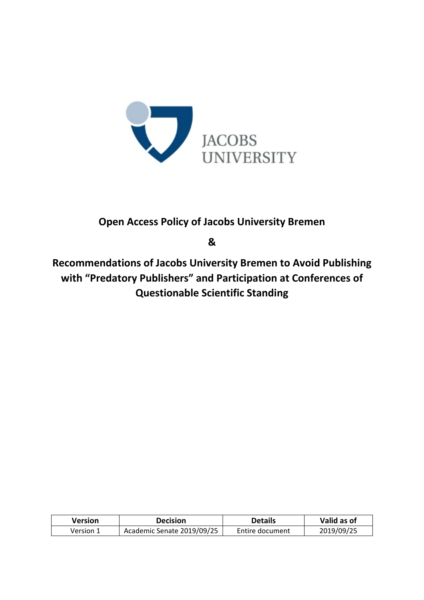

## **Open Access Policy of Jacobs University Bremen**

**&**

**Recommendations of Jacobs University Bremen to Avoid Publishing with "Predatory Publishers" and Participation at Conferences of Questionable Scientific Standing**

| Version   | Decision                   | <b>Details</b>  | Valid as of |
|-----------|----------------------------|-----------------|-------------|
| Version 1 | Academic Senate 2019/09/25 | Entire document | 2019/09/25  |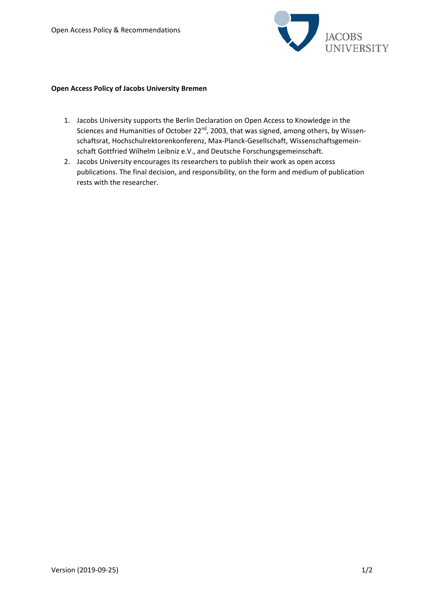

## **Open Access Policy of Jacobs University Bremen**

- 1. Jacobs University supports the Berlin Declaration on Open Access to Knowledge in the Sciences and Humanities of October 22<sup>nd</sup>, 2003, that was signed, among others, by Wissenschaftsrat, Hochschulrektorenkonferenz, Max-Planck-Gesellschaft, Wissenschaftsgemeinschaft Gottfried Wilhelm Leibniz e.V., and Deutsche Forschungsgemeinschaft.
- 2. Jacobs University encourages its researchers to publish their work as open access publications. The final decision, and responsibility, on the form and medium of publication rests with the researcher.